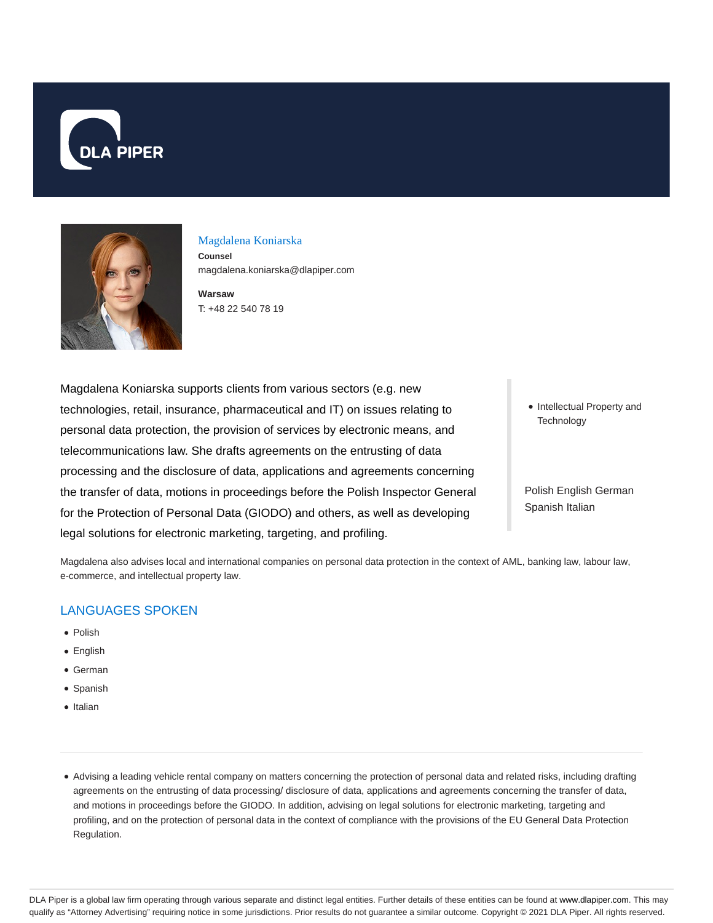



#### Magdalena Koniarska

**Counsel** magdalena.koniarska@dlapiper.com

**Warsaw** T: +48 22 540 78 19

Magdalena Koniarska supports clients from various sectors (e.g. new technologies, retail, insurance, pharmaceutical and IT) on issues relating to personal data protection, the provision of services by electronic means, and telecommunications law. She drafts agreements on the entrusting of data processing and the disclosure of data, applications and agreements concerning the transfer of data, motions in proceedings before the Polish Inspector General for the Protection of Personal Data (GIODO) and others, as well as developing legal solutions for electronic marketing, targeting, and profiling.

• Intellectual Property and **Technology** 

Polish English German Spanish Italian

Magdalena also advises local and international companies on personal data protection in the context of AML, banking law, labour law, e-commerce, and intellectual property law.

# LANGUAGES SPOKEN

- Polish
- English
- German
- Spanish
- Italian
- Advising a leading vehicle rental company on matters concerning the protection of personal data and related risks, including drafting agreements on the entrusting of data processing/ disclosure of data, applications and agreements concerning the transfer of data, and motions in proceedings before the GIODO. In addition, advising on legal solutions for electronic marketing, targeting and profiling, and on the protection of personal data in the context of compliance with the provisions of the EU General Data Protection Regulation.

DLA Piper is a global law firm operating through various separate and distinct legal entities. Further details of these entities can be found at www.dlapiper.com. This may qualify as "Attorney Advertising" requiring notice in some jurisdictions. Prior results do not guarantee a similar outcome. Copyright © 2021 DLA Piper. All rights reserved.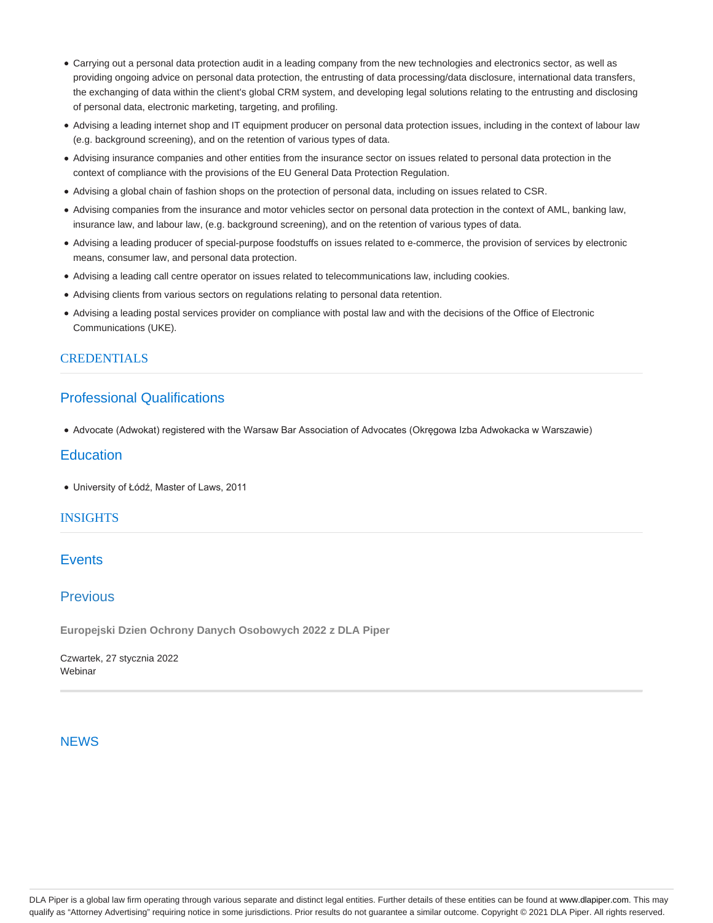- Carrying out a personal data protection audit in a leading company from the new technologies and electronics sector, as well as providing ongoing advice on personal data protection, the entrusting of data processing/data disclosure, international data transfers, the exchanging of data within the client's global CRM system, and developing legal solutions relating to the entrusting and disclosing of personal data, electronic marketing, targeting, and profiling.
- Advising a leading internet shop and IT equipment producer on personal data protection issues, including in the context of labour law (e.g. background screening), and on the retention of various types of data.
- Advising insurance companies and other entities from the insurance sector on issues related to personal data protection in the context of compliance with the provisions of the EU General Data Protection Regulation.
- Advising a global chain of fashion shops on the protection of personal data, including on issues related to CSR.
- Advising companies from the insurance and motor vehicles sector on personal data protection in the context of AML, banking law, insurance law, and labour law, (e.g. background screening), and on the retention of various types of data.
- Advising a leading producer of special-purpose foodstuffs on issues related to e-commerce, the provision of services by electronic means, consumer law, and personal data protection.
- Advising a leading call centre operator on issues related to telecommunications law, including cookies.
- Advising clients from various sectors on regulations relating to personal data retention.
- Advising a leading postal services provider on compliance with postal law and with the decisions of the Office of Electronic Communications (UKE).

### CREDENTIALS

## Professional Qualifications

Advocate (Adwokat) registered with the Warsaw Bar Association of Advocates (Okręgowa Izba Adwokacka w Warszawie)

## **Education**

University of Łódź, Master of Laws, 2011

#### **INSIGHTS**

## **Events**

# Previous

**Europejski Dzien Ochrony Danych Osobowych 2022 z DLA Piper**

Czwartek, 27 stycznia 2022 **Webinar** 

#### **NEWS**

DLA Piper is a global law firm operating through various separate and distinct legal entities. Further details of these entities can be found at www.dlapiper.com. This may qualify as "Attorney Advertising" requiring notice in some jurisdictions. Prior results do not guarantee a similar outcome. Copyright @ 2021 DLA Piper. All rights reserved.